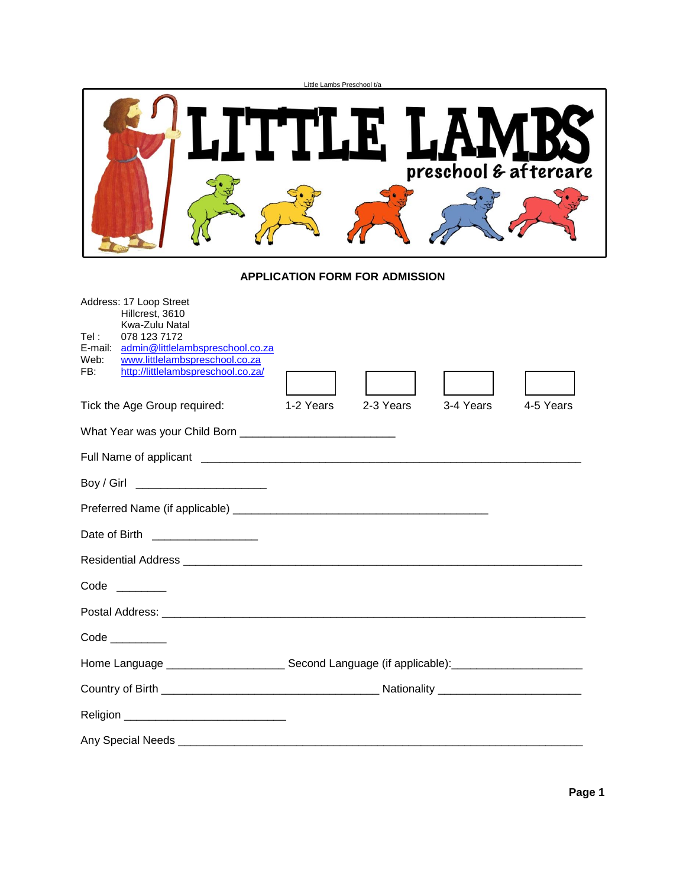|                                                                                                                                                                                                                          | Little Lambs Preschool t/a                                                                                     |
|--------------------------------------------------------------------------------------------------------------------------------------------------------------------------------------------------------------------------|----------------------------------------------------------------------------------------------------------------|
|                                                                                                                                                                                                                          | TTLE LAI<br>preschool & aftercare                                                                              |
|                                                                                                                                                                                                                          | <b>APPLICATION FORM FOR ADMISSION</b>                                                                          |
| Address: 17 Loop Street<br>Hillcrest, 3610<br>Kwa-Zulu Natal<br>078 123 7172<br>Tel :<br>E-mail: admin@littlelambspreschool.co.za<br>Web:<br>www.littlelambspreschool.co.za<br>http://littlelambspreschool.co.za/<br>FB: |                                                                                                                |
| Tick the Age Group required:                                                                                                                                                                                             | 2-3 Years<br>3-4 Years<br>4-5 Years<br>1-2 Years                                                               |
|                                                                                                                                                                                                                          |                                                                                                                |
|                                                                                                                                                                                                                          |                                                                                                                |
| Boy / Girl _________________________                                                                                                                                                                                     |                                                                                                                |
|                                                                                                                                                                                                                          |                                                                                                                |
| Date of Birth ___________________                                                                                                                                                                                        |                                                                                                                |
|                                                                                                                                                                                                                          |                                                                                                                |
| Code<br>$\mathcal{L}^{\text{max}}$ and $\mathcal{L}^{\text{max}}$                                                                                                                                                        |                                                                                                                |
|                                                                                                                                                                                                                          |                                                                                                                |
| Code __________                                                                                                                                                                                                          |                                                                                                                |
|                                                                                                                                                                                                                          | Home Language _______________________________Second Language (if applicable):_________________________________ |
|                                                                                                                                                                                                                          |                                                                                                                |
|                                                                                                                                                                                                                          |                                                                                                                |
|                                                                                                                                                                                                                          |                                                                                                                |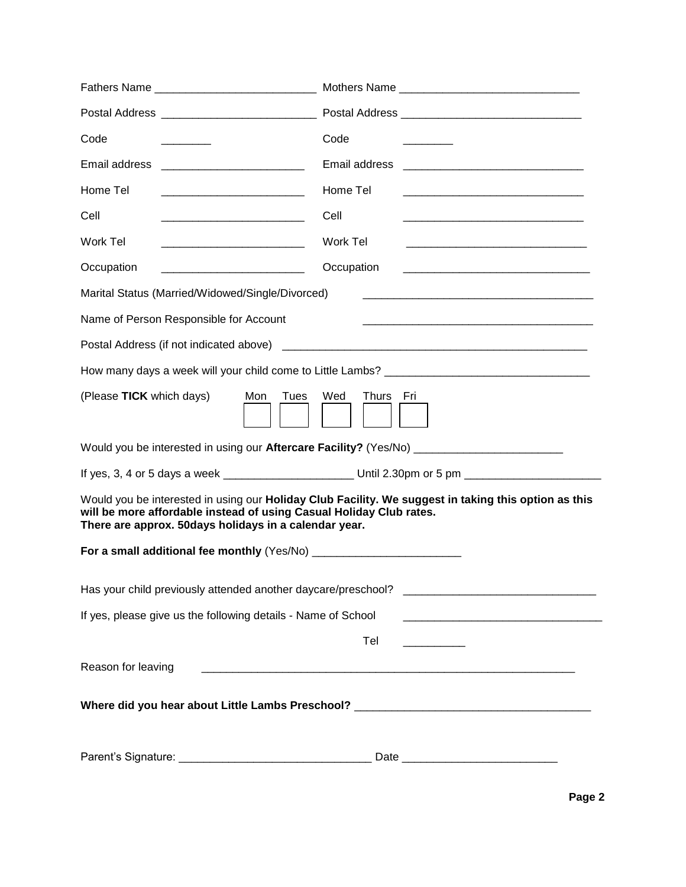| Code                                                                                                                                | Code                                                                                                                              |
|-------------------------------------------------------------------------------------------------------------------------------------|-----------------------------------------------------------------------------------------------------------------------------------|
| Email address                                                                                                                       | Email address                                                                                                                     |
| Home Tel                                                                                                                            | Home Tel<br><u> 1989 - Jan James James, martin de la populación de la propia de la propia de la propia de la propia de la pr</u>  |
| Cell                                                                                                                                | Cell<br><u> 1980 - Johann Barn, mars an t-Amerikaansk politiker (</u>                                                             |
| Work Tel                                                                                                                            | Work Tel                                                                                                                          |
| Occupation<br><u> 1980 - Jan James James Barnett, politik eta politik eta politik eta politik eta politik eta politik eta polit</u> | Occupation<br><u> 1980 - Jan Barbara, martin da basar da basar da basar da basar da basar da basar da basar da basar da basar</u> |
| Marital Status (Married/Widowed/Single/Divorced)                                                                                    |                                                                                                                                   |
| Name of Person Responsible for Account                                                                                              |                                                                                                                                   |
|                                                                                                                                     |                                                                                                                                   |
|                                                                                                                                     |                                                                                                                                   |
| (Please TICK which days)<br>Mon<br>Tues                                                                                             | Wed<br>Thurs Fri                                                                                                                  |
|                                                                                                                                     | Would you be interested in using our Aftercare Facility? (Yes/No) __________________________________                              |
|                                                                                                                                     |                                                                                                                                   |
| will be more affordable instead of using Casual Holiday Club rates.<br>There are approx. 50days holidays in a calendar year.        | Would you be interested in using our Holiday Club Facility. We suggest in taking this option as this                              |
|                                                                                                                                     |                                                                                                                                   |
| Has your child previously attended another daycare/preschool?                                                                       |                                                                                                                                   |
| If yes, please give us the following details - Name of School                                                                       |                                                                                                                                   |
|                                                                                                                                     | Tel                                                                                                                               |
| Reason for leaving                                                                                                                  | <u> 1999 - Jan James James James James James James James James James James James James James James James James J</u>              |
|                                                                                                                                     | Where did you hear about Little Lambs Preschool? ________________________________                                                 |
|                                                                                                                                     |                                                                                                                                   |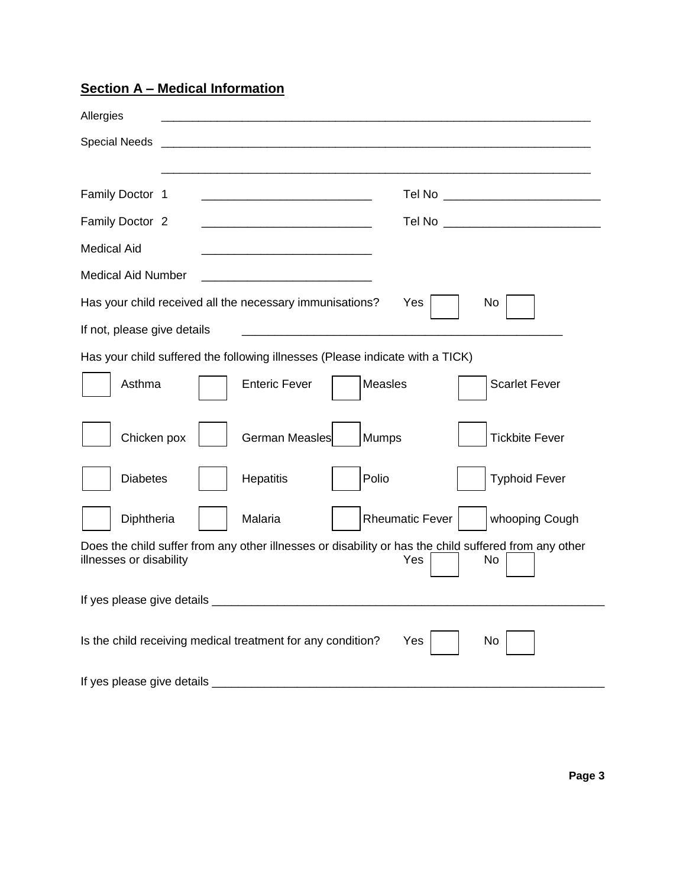**Section A – Medical Information**

| Allergies                                                                                                                                     |
|-----------------------------------------------------------------------------------------------------------------------------------------------|
| <b>Special Needs</b>                                                                                                                          |
|                                                                                                                                               |
| Family Doctor 1                                                                                                                               |
| Family Doctor 2<br>Tel No ______________________________                                                                                      |
| <b>Medical Aid</b><br><u> 1989 - Johann Barbara, margaret eta idazlea (h. 1989).</u>                                                          |
| <b>Medical Aid Number</b><br><u> 1989 - Johann Barn, mars an t-Amerikaansk politiker (</u>                                                    |
| Has your child received all the necessary immunisations?<br>Yes<br>No                                                                         |
| If not, please give details                                                                                                                   |
| Has your child suffered the following illnesses (Please indicate with a TICK)                                                                 |
| Asthma<br><b>Enteric Fever</b><br><b>Measles</b><br><b>Scarlet Fever</b>                                                                      |
|                                                                                                                                               |
| Mumps<br>Chicken pox<br>German Measles<br><b>Tickbite Fever</b>                                                                               |
| Polio<br><b>Diabetes</b><br>Hepatitis<br><b>Typhoid Fever</b>                                                                                 |
| Diphtheria<br>Malaria<br><b>Rheumatic Fever</b><br>whooping Cough                                                                             |
| Does the child suffer from any other illnesses or disability or has the child suffered from any other<br>illnesses or disability<br>Yes<br>No |
| If yes please give details                                                                                                                    |
| Is the child receiving medical treatment for any condition?<br>Yes<br>No                                                                      |
| If yes please give details _                                                                                                                  |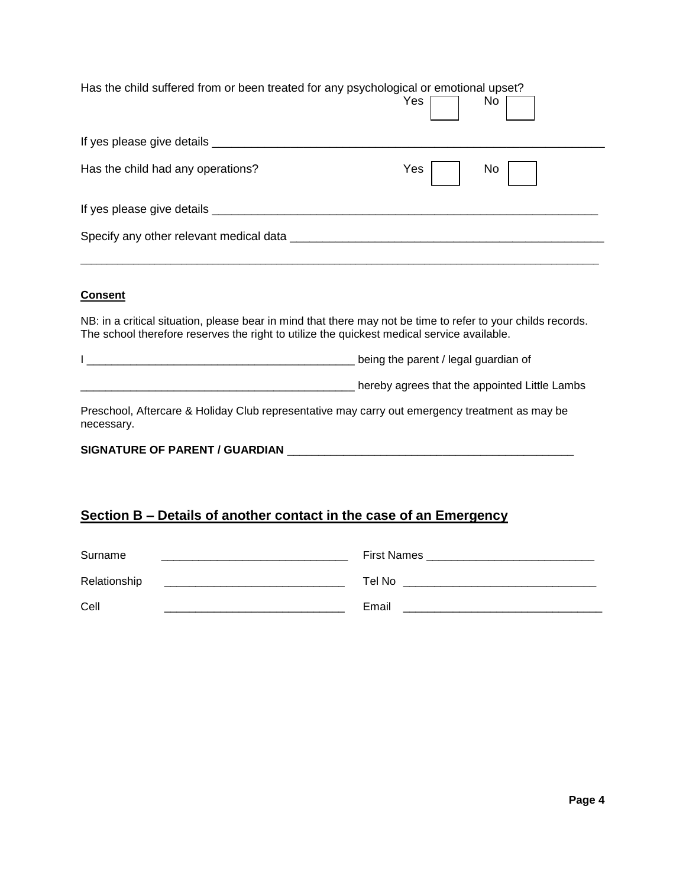| Has the child suffered from or been treated for any psychological or emotional upset? | No        |
|---------------------------------------------------------------------------------------|-----------|
| If yes please give details ________                                                   |           |
| Has the child had any operations?                                                     | No<br>Yes |
| If yes please give details _____                                                      |           |
| Specify any other relevant medical data                                               |           |

### **Consent**

NB: in a critical situation, please bear in mind that there may not be time to refer to your childs records. The school therefore reserves the right to utilize the quickest medical service available.

| / legal guardian of<br>heing the parent / |
|-------------------------------------------|
|                                           |

\_\_\_\_\_\_\_\_\_\_\_\_\_\_\_\_\_\_\_\_\_\_\_\_\_\_\_\_\_\_\_\_\_\_\_\_\_\_\_\_\_\_\_\_ hereby agrees that the appointed Little Lambs

Preschool, Aftercare & Holiday Club representative may carry out emergency treatment as may be necessary.

### **SIGNATURE OF PARENT / GUARDIAN** \_\_\_\_\_\_\_\_\_\_\_\_\_\_\_\_\_\_\_\_\_\_\_\_\_\_\_\_\_\_\_\_\_\_\_\_\_\_\_\_\_\_\_\_\_\_

## **Section B – Details of another contact in the case of an Emergency**

| Surname      | <b>First Names</b> |
|--------------|--------------------|
| Relationship | Tel No             |
| Cell         | Email              |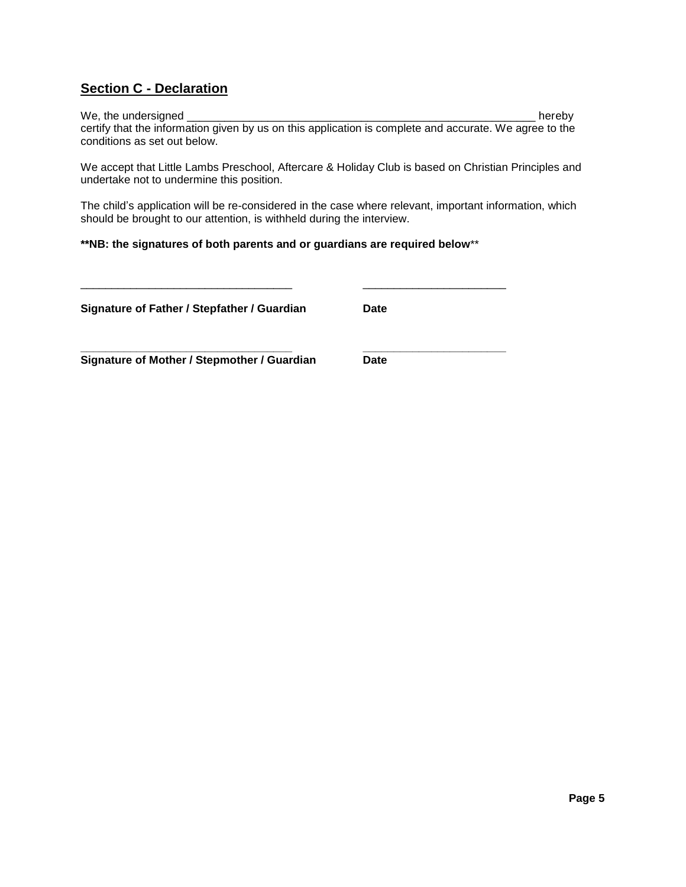## **Section C - Declaration**

We, the undersigned \_\_\_\_\_\_\_\_\_\_\_\_\_\_\_\_\_\_\_\_\_\_\_\_\_\_\_\_\_\_\_\_\_\_\_\_\_\_\_\_\_\_\_\_\_\_\_\_\_\_\_\_\_\_\_\_ hereby certify that the information given by us on this application is complete and accurate. We agree to the conditions as set out below.

We accept that Little Lambs Preschool, Aftercare & Holiday Club is based on Christian Principles and undertake not to undermine this position.

The child's application will be re-considered in the case where relevant, important information, which should be brought to our attention, is withheld during the interview.

### **\*\*NB: the signatures of both parents and or guardians are required below**\*\*

\_\_\_\_\_\_\_\_\_\_\_\_\_\_\_\_\_\_\_\_\_\_\_\_\_\_\_\_\_\_\_\_\_\_ \_\_\_\_\_\_\_\_\_\_\_\_\_\_\_\_\_\_\_\_\_\_\_

**\_\_\_\_\_\_\_\_\_\_\_\_\_\_\_\_\_\_\_\_\_\_\_\_\_\_\_\_\_\_\_\_\_\_ \_\_\_\_\_\_\_\_\_\_\_\_\_\_\_\_\_\_\_\_\_\_\_**

**Signature of Father / Stepfather / Guardian Date**

**Signature of Mother / Stepmother / Guardian Date**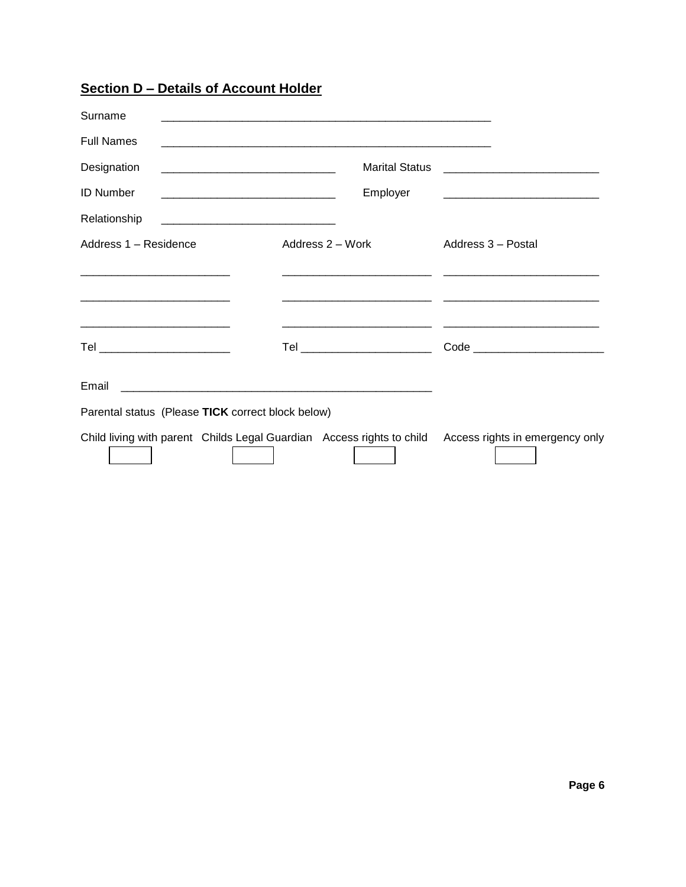**Section D – Details of Account Holder**

| Surname                                           | <u> 1990 - Jan James James James James James James James James James James James James James James James James J</u> |                                   |
|---------------------------------------------------|----------------------------------------------------------------------------------------------------------------------|-----------------------------------|
| <b>Full Names</b>                                 |                                                                                                                      |                                   |
| Designation                                       |                                                                                                                      |                                   |
| <b>ID Number</b>                                  | Employer                                                                                                             |                                   |
| Relationship                                      |                                                                                                                      |                                   |
| Address 1 - Residence                             | Address 2 – Work                                                                                                     | Address 3 - Postal                |
|                                                   |                                                                                                                      |                                   |
|                                                   |                                                                                                                      |                                   |
| Tel _________________________                     | Tel _________________________                                                                                        | Code ____________________________ |
| Email                                             |                                                                                                                      |                                   |
| Parental status (Please TICK correct block below) |                                                                                                                      |                                   |
|                                                   | Child living with parent Childs Legal Guardian Access rights to child                                                | Access rights in emergency only   |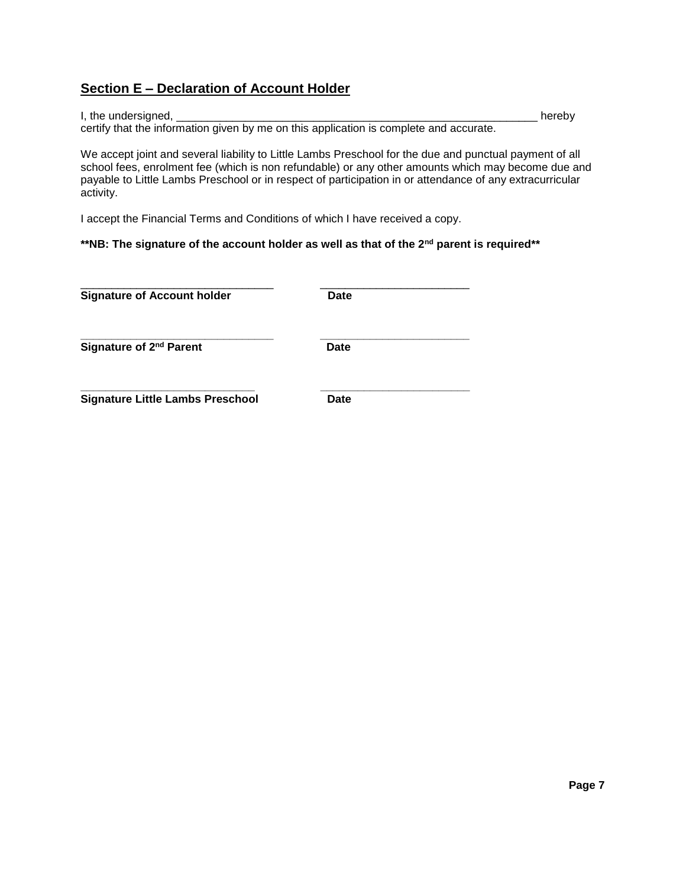# **Section E – Declaration of Account Holder**

I, the undersigned, \_\_\_\_\_\_\_\_\_\_\_\_\_\_\_\_\_\_\_\_\_\_\_\_\_\_\_\_\_\_\_\_\_\_\_\_\_\_\_\_\_\_\_\_\_\_\_\_\_\_\_\_\_\_\_\_\_\_ hereby certify that the information given by me on this application is complete and accurate.

We accept joint and several liability to Little Lambs Preschool for the due and punctual payment of all school fees, enrolment fee (which is non refundable) or any other amounts which may become due and payable to Little Lambs Preschool or in respect of participation in or attendance of any extracurricular activity.

I accept the Financial Terms and Conditions of which I have received a copy.

## **\*\*NB: The signature of the account holder as well as that of the 2nd parent is required\*\***

| <b>Signature of Account holder</b>      | Date |  |
|-----------------------------------------|------|--|
| Signature of 2 <sup>nd</sup> Parent     | Date |  |
| <b>Signature Little Lambs Preschool</b> | Date |  |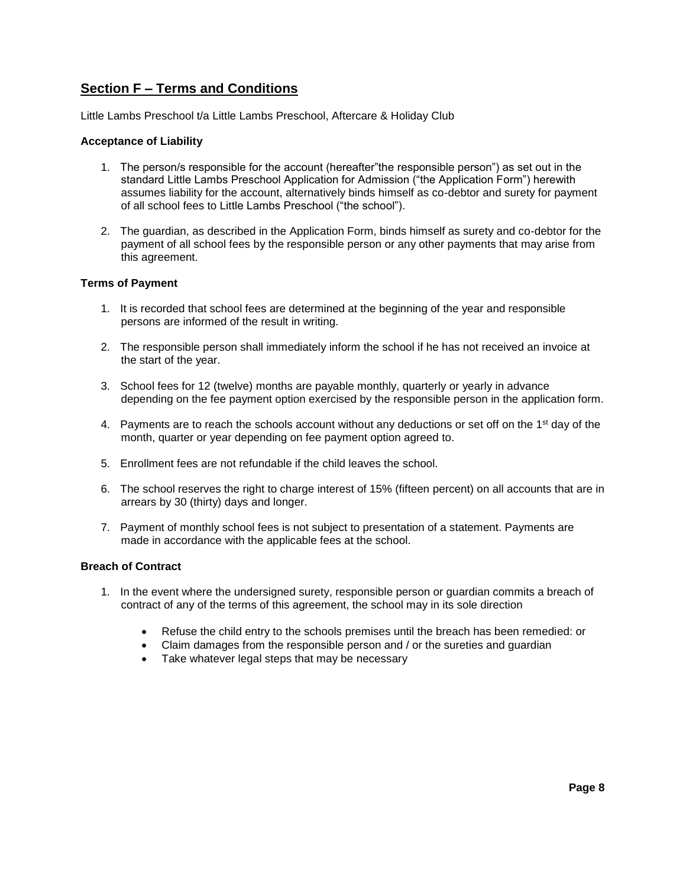## **Section F – Terms and Conditions**

Little Lambs Preschool t/a Little Lambs Preschool, Aftercare & Holiday Club

### **Acceptance of Liability**

- 1. The person/s responsible for the account (hereafter"the responsible person") as set out in the standard Little Lambs Preschool Application for Admission ("the Application Form") herewith assumes liability for the account, alternatively binds himself as co-debtor and surety for payment of all school fees to Little Lambs Preschool ("the school").
- 2. The guardian, as described in the Application Form, binds himself as surety and co-debtor for the payment of all school fees by the responsible person or any other payments that may arise from this agreement.

#### **Terms of Payment**

- 1. It is recorded that school fees are determined at the beginning of the year and responsible persons are informed of the result in writing.
- 2. The responsible person shall immediately inform the school if he has not received an invoice at the start of the year.
- 3. School fees for 12 (twelve) months are payable monthly, quarterly or yearly in advance depending on the fee payment option exercised by the responsible person in the application form.
- 4. Payments are to reach the schools account without any deductions or set off on the 1<sup>st</sup> day of the month, quarter or year depending on fee payment option agreed to.
- 5. Enrollment fees are not refundable if the child leaves the school.
- 6. The school reserves the right to charge interest of 15% (fifteen percent) on all accounts that are in arrears by 30 (thirty) days and longer.
- 7. Payment of monthly school fees is not subject to presentation of a statement. Payments are made in accordance with the applicable fees at the school.

## **Breach of Contract**

- 1. In the event where the undersigned surety, responsible person or guardian commits a breach of contract of any of the terms of this agreement, the school may in its sole direction
	- Refuse the child entry to the schools premises until the breach has been remedied: or
	- Claim damages from the responsible person and / or the sureties and guardian
	- Take whatever legal steps that may be necessary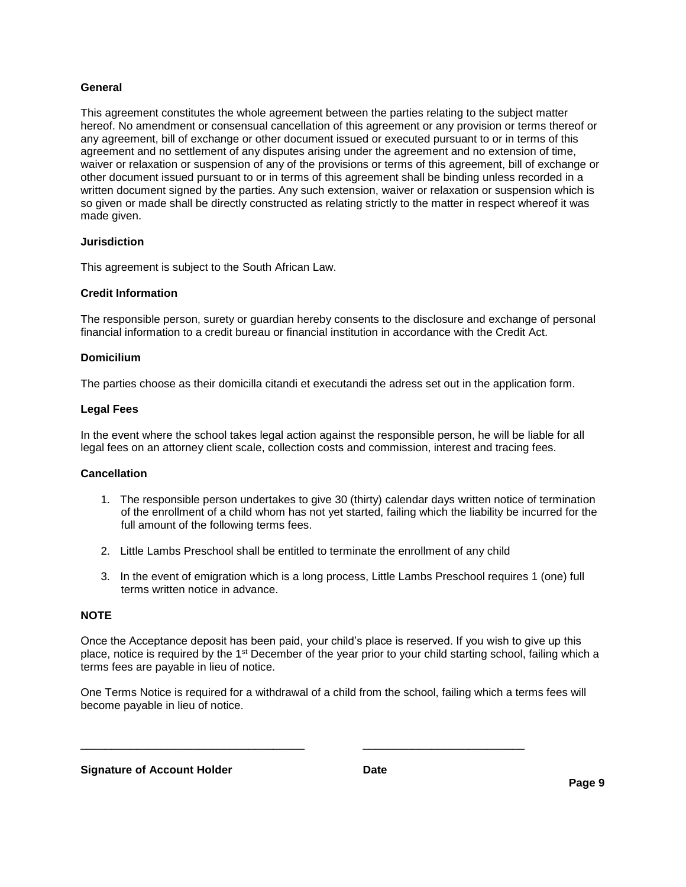#### **General**

This agreement constitutes the whole agreement between the parties relating to the subject matter hereof. No amendment or consensual cancellation of this agreement or any provision or terms thereof or any agreement, bill of exchange or other document issued or executed pursuant to or in terms of this agreement and no settlement of any disputes arising under the agreement and no extension of time, waiver or relaxation or suspension of any of the provisions or terms of this agreement, bill of exchange or other document issued pursuant to or in terms of this agreement shall be binding unless recorded in a written document signed by the parties. Any such extension, waiver or relaxation or suspension which is so given or made shall be directly constructed as relating strictly to the matter in respect whereof it was made given.

### **Jurisdiction**

This agreement is subject to the South African Law.

### **Credit Information**

The responsible person, surety or guardian hereby consents to the disclosure and exchange of personal financial information to a credit bureau or financial institution in accordance with the Credit Act.

### **Domicilium**

The parties choose as their domicilla citandi et executandi the adress set out in the application form.

#### **Legal Fees**

In the event where the school takes legal action against the responsible person, he will be liable for all legal fees on an attorney client scale, collection costs and commission, interest and tracing fees.

### **Cancellation**

- 1. The responsible person undertakes to give 30 (thirty) calendar days written notice of termination of the enrollment of a child whom has not yet started, failing which the liability be incurred for the full amount of the following terms fees.
- 2. Little Lambs Preschool shall be entitled to terminate the enrollment of any child
- 3. In the event of emigration which is a long process, Little Lambs Preschool requires 1 (one) full terms written notice in advance.

#### **NOTE**

Once the Acceptance deposit has been paid, your child's place is reserved. If you wish to give up this place, notice is required by the 1<sup>st</sup> December of the year prior to your child starting school, failing which a terms fees are payable in lieu of notice.

One Terms Notice is required for a withdrawal of a child from the school, failing which a terms fees will become payable in lieu of notice.

\_\_\_\_\_\_\_\_\_\_\_\_\_\_\_\_\_\_\_\_\_\_\_\_\_\_\_\_\_\_\_\_\_\_\_\_ \_\_\_\_\_\_\_\_\_\_\_\_\_\_\_\_\_\_\_\_\_\_\_\_\_\_

**Signature of Account Holder Date**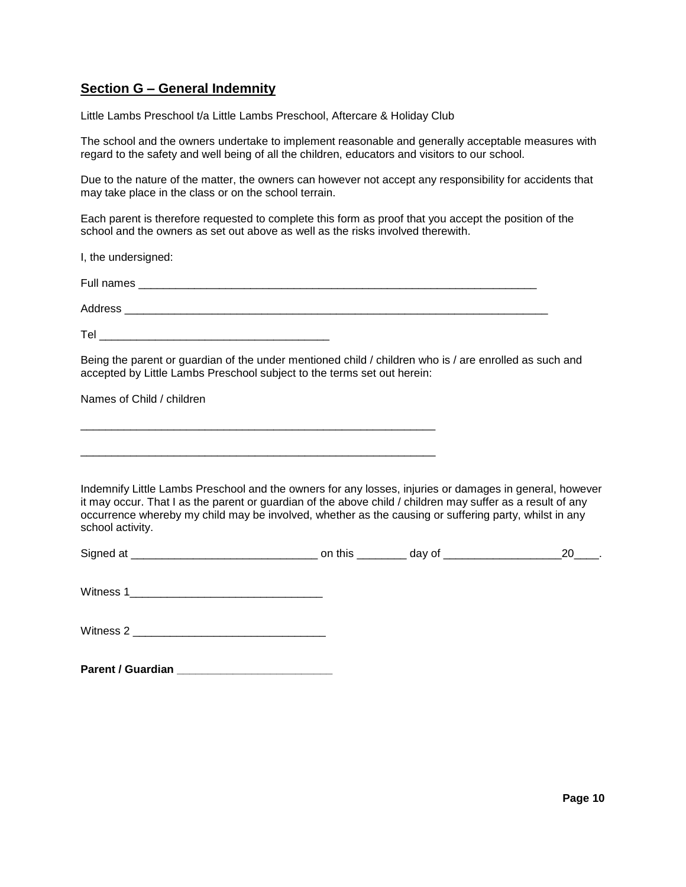## **Section G – General Indemnity**

Little Lambs Preschool t/a Little Lambs Preschool, Aftercare & Holiday Club

The school and the owners undertake to implement reasonable and generally acceptable measures with regard to the safety and well being of all the children, educators and visitors to our school.

Due to the nature of the matter, the owners can however not accept any responsibility for accidents that may take place in the class or on the school terrain.

Each parent is therefore requested to complete this form as proof that you accept the position of the school and the owners as set out above as well as the risks involved therewith.

I, the undersigned:

| Full names |  |  |  |
|------------|--|--|--|
| Address    |  |  |  |

 $\mathsf{Tel}$  . Tel

\_\_\_\_\_\_\_\_\_\_\_\_\_\_\_\_\_\_\_\_\_\_\_\_\_\_\_\_\_\_\_\_\_\_\_\_\_\_\_\_\_\_\_\_\_\_\_\_\_\_\_\_\_\_\_\_\_

\_\_\_\_\_\_\_\_\_\_\_\_\_\_\_\_\_\_\_\_\_\_\_\_\_\_\_\_\_\_\_\_\_\_\_\_\_\_\_\_\_\_\_\_\_\_\_\_\_\_\_\_\_\_\_\_\_

Being the parent or guardian of the under mentioned child / children who is / are enrolled as such and accepted by Little Lambs Preschool subject to the terms set out herein:

Names of Child / children

Indemnify Little Lambs Preschool and the owners for any losses, injuries or damages in general, however it may occur. That I as the parent or guardian of the above child / children may suffer as a result of any occurrence whereby my child may be involved, whether as the causing or suffering party, whilst in any school activity.

| -   | - -- | .   |
|-----|------|-----|
| Sic |      | . . |

Witness 1\_\_\_\_\_\_\_\_\_\_\_\_\_\_\_\_\_\_\_\_\_\_\_\_\_\_\_\_\_\_\_

Witness 2 \_\_\_\_\_\_\_\_\_\_\_\_\_\_\_\_\_\_\_\_\_\_\_\_\_\_\_\_\_\_\_

| <b>Parent / Guardian</b> |  |  |  |
|--------------------------|--|--|--|
|--------------------------|--|--|--|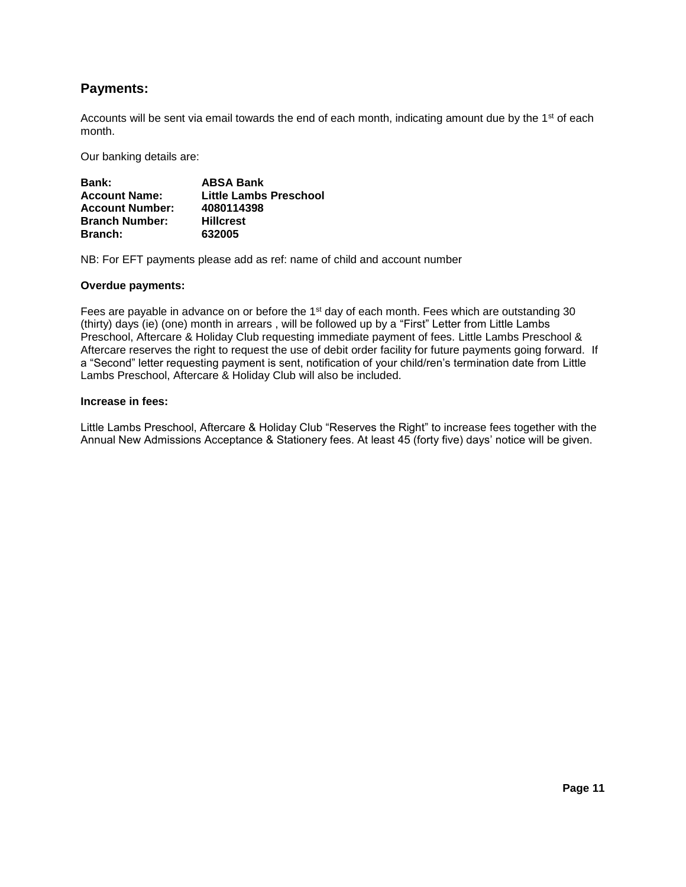## **Payments:**

Accounts will be sent via email towards the end of each month, indicating amount due by the 1<sup>st</sup> of each month.

Our banking details are:

| Bank:                  | <b>ABSA Bank</b>       |
|------------------------|------------------------|
| <b>Account Name:</b>   | Little Lambs Preschool |
| <b>Account Number:</b> | 4080114398             |
| <b>Branch Number:</b>  | <b>Hillcrest</b>       |
| <b>Branch:</b>         | 632005                 |

NB: For EFT payments please add as ref: name of child and account number

#### **Overdue payments:**

Fees are payable in advance on or before the 1<sup>st</sup> day of each month. Fees which are outstanding 30 (thirty) days (ie) (one) month in arrears , will be followed up by a "First" Letter from Little Lambs Preschool, Aftercare & Holiday Club requesting immediate payment of fees. Little Lambs Preschool & Aftercare reserves the right to request the use of debit order facility for future payments going forward. If a "Second" letter requesting payment is sent, notification of your child/ren's termination date from Little Lambs Preschool, Aftercare & Holiday Club will also be included.

#### **Increase in fees:**

Little Lambs Preschool, Aftercare & Holiday Club "Reserves the Right" to increase fees together with the Annual New Admissions Acceptance & Stationery fees. At least 45 (forty five) days' notice will be given.